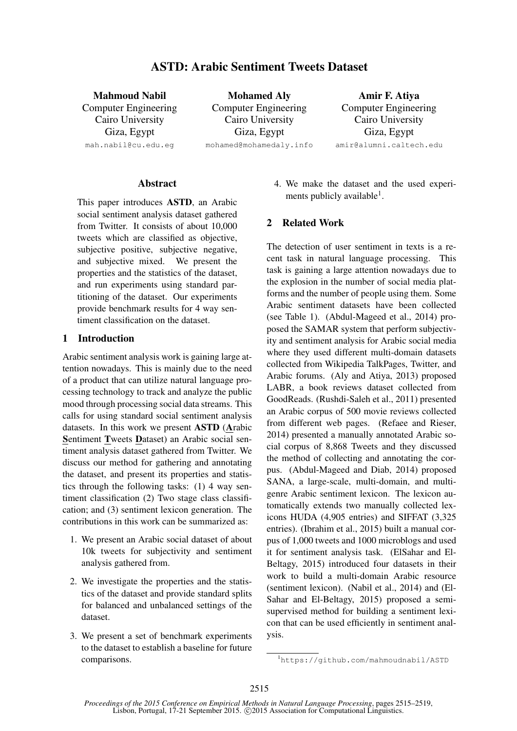# ASTD: Arabic Sentiment Tweets Dataset

Mahmoud Nabil Computer Engineering Cairo University Giza, Egypt mah.nabil@cu.edu.eg

Mohamed Aly Computer Engineering Cairo University Giza, Egypt mohamed@mohamedaly.info

Amir F. Atiya Computer Engineering Cairo University Giza, Egypt amir@alumni.caltech.edu

## **Abstract**

This paper introduces ASTD, an Arabic social sentiment analysis dataset gathered from Twitter. It consists of about 10,000 tweets which are classified as objective, subjective positive, subjective negative, and subjective mixed. We present the properties and the statistics of the dataset, and run experiments using standard partitioning of the dataset. Our experiments provide benchmark results for 4 way sentiment classification on the dataset.

## 1 Introduction

Arabic sentiment analysis work is gaining large attention nowadays. This is mainly due to the need of a product that can utilize natural language processing technology to track and analyze the public mood through processing social data streams. This calls for using standard social sentiment analysis datasets. In this work we present ASTD (Arabic Sentiment Tweets Dataset) an Arabic social sentiment analysis dataset gathered from Twitter. We discuss our method for gathering and annotating the dataset, and present its properties and statistics through the following tasks: (1) 4 way sentiment classification (2) Two stage class classification; and (3) sentiment lexicon generation. The contributions in this work can be summarized as:

- 1. We present an Arabic social dataset of about 10k tweets for subjectivity and sentiment analysis gathered from.
- 2. We investigate the properties and the statistics of the dataset and provide standard splits for balanced and unbalanced settings of the dataset.
- 3. We present a set of benchmark experiments to the dataset to establish a baseline for future comparisons.

4. We make the dataset and the used experiments publicly available<sup>1</sup>.

## 2 Related Work

The detection of user sentiment in texts is a recent task in natural language processing. This task is gaining a large attention nowadays due to the explosion in the number of social media platforms and the number of people using them. Some Arabic sentiment datasets have been collected (see Table 1). (Abdul-Mageed et al., 2014) proposed the SAMAR system that perform subjectivity and sentiment analysis for Arabic social media where they used different multi-domain datasets collected from Wikipedia TalkPages, Twitter, and Arabic forums. (Aly and Atiya, 2013) proposed LABR, a book reviews dataset collected from GoodReads. (Rushdi-Saleh et al., 2011) presented an Arabic corpus of 500 movie reviews collected from different web pages. (Refaee and Rieser, 2014) presented a manually annotated Arabic social corpus of 8,868 Tweets and they discussed the method of collecting and annotating the corpus. (Abdul-Mageed and Diab, 2014) proposed SANA, a large-scale, multi-domain, and multigenre Arabic sentiment lexicon. The lexicon automatically extends two manually collected lexicons HUDA (4,905 entries) and SIFFAT (3,325 entries). (Ibrahim et al., 2015) built a manual corpus of 1,000 tweets and 1000 microblogs and used it for sentiment analysis task. (ElSahar and El-Beltagy, 2015) introduced four datasets in their work to build a multi-domain Arabic resource (sentiment lexicon). (Nabil et al., 2014) and (El-Sahar and El-Beltagy, 2015) proposed a semisupervised method for building a sentiment lexicon that can be used efficiently in sentiment analysis.

<sup>1</sup>https://github.com/mahmoudnabil/ASTD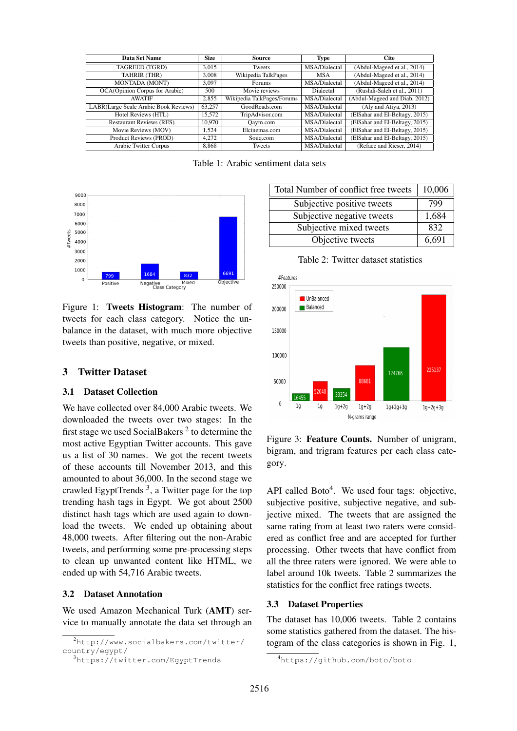| Data Set Name                         | <b>Size</b> | Source                     | <b>Type</b>          | <b>Cite</b>                    |  |  |
|---------------------------------------|-------------|----------------------------|----------------------|--------------------------------|--|--|
| TAGREED (TGRD)                        | 3.015       | <b>Tweets</b>              | MSA/Dialectal        | (Abdul-Mageed et al., 2014)    |  |  |
| TAHRIR (THR)                          | 3,008       | Wikipedia TalkPages        | <b>MSA</b>           | (Abdul-Mageed et al., 2014)    |  |  |
| <b>MONTADA (MONT)</b>                 | 3.097       | Forums                     | MSA/Dialectal        | (Abdul-Mageed et al., 2014)    |  |  |
| OCA(Opinion Corpus for Arabic)        | 500         | Movie reviews              | Dialectal            | (Rushdi-Saleh et al., 2011)    |  |  |
| <b>AWATIF</b>                         | 2,855       | Wikipedia TalkPages/Forums | MSA/Dialectal        | (Abdul-Mageed and Diab, 2012)  |  |  |
| LABR(Large Scale Arabic Book Reviews) | 63.257      | GoodReads.com              | MSA/Dialectal        | (Aly and Atiya, 2013)          |  |  |
| Hotel Reviews (HTL)                   | 15.572      | TripAdvisor.com            | <b>MSA/Dialectal</b> | (ElSahar and El-Beltagy, 2015) |  |  |
| <b>Restaurant Reviews (RES)</b>       | 10.970      | Oaym.com                   | MSA/Dialectal        | (ElSahar and El-Beltagy, 2015) |  |  |
| Movie Reviews (MOV)                   | 1.524       | Elcinemas.com              | MSA/Dialectal        | (ElSahar and El-Beltagy, 2015) |  |  |
| Product Reviews (PROD)                | 4.272       | Soug.com                   | MSA/Dialectal        | (ElSahar and El-Beltagy, 2015) |  |  |
| <b>Arabic Twitter Corpus</b>          | 8,868       | Tweets                     | MSA/Dialectal        | (Refaee and Rieser, 2014)      |  |  |

Table 1: Arabic sentiment data sets



Figure 1: Tweets Histogram: The number of tweets for each class category. Notice the unbalance in the dataset, with much more objective tweets than positive, negative, or mixed.

### 3 Twitter Dataset

#### 3.1 Dataset Collection

We have collected over 84,000 Arabic tweets. We downloaded the tweets over two stages: In the first stage we used SocialBakers<sup>2</sup> to determine the most active Egyptian Twitter accounts. This gave us a list of 30 names. We got the recent tweets of these accounts till November 2013, and this amounted to about 36,000. In the second stage we crawled EgyptTrends<sup>3</sup>, a Twitter page for the top trending hash tags in Egypt. We got about 2500 distinct hash tags which are used again to download the tweets. We ended up obtaining about 48,000 tweets. After filtering out the non-Arabic tweets, and performing some pre-processing steps to clean up unwanted content like HTML, we ended up with 54,716 Arabic tweets.

#### 3.2 Dataset Annotation

We used Amazon Mechanical Turk (AMT) service to manually annotate the data set through an

| Total Number of conflict free tweets | 10,006 |
|--------------------------------------|--------|
| Subjective positive tweets           | 799    |
| Subjective negative tweets           | 1,684  |
| Subjective mixed tweets              | 832    |
| Objective tweets                     | 6,691  |

Table 2: Twitter dataset statistics



Figure 3: Feature Counts. Number of unigram, bigram, and trigram features per each class category.

API called Boto $4$ . We used four tags: objective, subjective positive, subjective negative, and subjective mixed. The tweets that are assigned the same rating from at least two raters were considered as conflict free and are accepted for further processing. Other tweets that have conflict from all the three raters were ignored. We were able to label around 10k tweets. Table 2 summarizes the statistics for the conflict free ratings tweets.

#### 3.3 Dataset Properties

The dataset has 10,006 tweets. Table 2 contains some statistics gathered from the dataset. The histogram of the class categories is shown in Fig. 1,

<sup>2</sup>http://www.socialbakers.com/twitter/ country/egypt/

<sup>3</sup>https://twitter.com/EgyptTrends

<sup>4</sup>https://github.com/boto/boto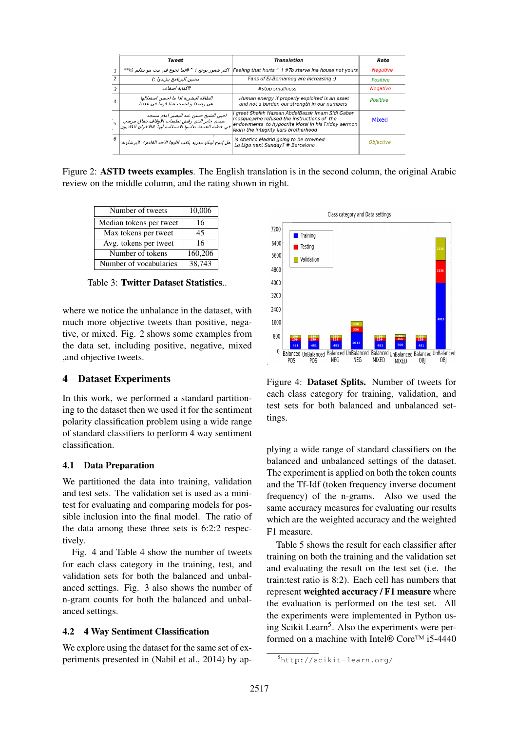|               | Tweet                                                                                                                                           | Translation                                                                                                                                                                                     | Rate             |
|---------------|-------------------------------------------------------------------------------------------------------------------------------------------------|-------------------------------------------------------------------------------------------------------------------------------------------------------------------------------------------------|------------------|
|               |                                                                                                                                                 | Feeling that hurts ^ ! #To starve ina house not yours   اکثر شعور یوجع ! ^#لما تجوع في بيت مو بيتكم ©**                                                                                         | <b>Negative</b>  |
| $\mathcal{P}$ | محبين البرنامج بيزيدوا :)                                                                                                                       | Fans of El-Bernameg are increasing :)                                                                                                                                                           | Positive         |
| 3             | #كفاية اسفاف                                                                                                                                    | #stop smallness                                                                                                                                                                                 | <b>Negative</b>  |
| $\Delta$      | الطاقة البشرية اذا ما احسن استغلالها<br>هي رصيدا و ليست عبئا قوتنا في عددنا                                                                     | Human energy if properly exploited is an asset<br>and not a burden our strength in our numbers                                                                                                  | Positive         |
|               | احيي الشيخ حسن عبد البصير امام مسجد<br>سيدى جابر الذي رفض تعليمات الأوقاف بنفاق مرسمي<br>في خطبة الجمعة تعلموا الاستقامة أيها #الاخوان الكاذبون | I greet Sheikh Hassan AbdelBassir Imam Sidi Gaber<br>mosque, who refused the instructions of the<br>endowments to hypocrite Morsi in his Friday sermon<br>learn the integrity liars brotherhood | Mixed            |
| $-6$          | هل يُتوج ابتكو مدريد بلقب الليجا الأحد القادم؟ #برشلونة                                                                                         | Is Atletico Madrid going to be crowned<br>La Liga next Sunday? # Barcelona                                                                                                                      | <b>Objective</b> |

Figure 2: ASTD tweets examples. The English translation is in the second column, the original Arabic review on the middle column, and the rating shown in right.

| Number of tweets        | 10,006  |
|-------------------------|---------|
| Median tokens per tweet | 16      |
| Max tokens per tweet    | 45      |
| Avg. tokens per tweet   | 16      |
| Number of tokens        | 160,206 |
| Number of vocabularies  | 38.743  |

Table 3: Twitter Dataset Statistics..

where we notice the unbalance in the dataset, with much more objective tweets than positive, negative, or mixed. Fig. 2 shows some examples from the data set, including positive, negative, mixed ,and objective tweets.

## 4 Dataset Experiments

In this work, we performed a standard partitioning to the dataset then we used it for the sentiment polarity classification problem using a wide range of standard classifiers to perform 4 way sentiment classification.

#### 4.1 Data Preparation

We partitioned the data into training, validation and test sets. The validation set is used as a minitest for evaluating and comparing models for possible inclusion into the final model. The ratio of the data among these three sets is 6:2:2 respectively.

Fig. 4 and Table 4 show the number of tweets for each class category in the training, test, and validation sets for both the balanced and unbalanced settings. Fig. 3 also shows the number of n-gram counts for both the balanced and unbalanced settings.

### 4.2 4 Way Sentiment Classification

We explore using the dataset for the same set of experiments presented in (Nabil et al., 2014) by ap-



Figure 4: Dataset Splits. Number of tweets for each class category for training, validation, and test sets for both balanced and unbalanced settings.

plying a wide range of standard classifiers on the balanced and unbalanced settings of the dataset. The experiment is applied on both the token counts and the Tf-Idf (token frequency inverse document frequency) of the n-grams. Also we used the same accuracy measures for evaluating our results which are the weighted accuracy and the weighted F1 measure.

Table 5 shows the result for each classifier after training on both the training and the validation set and evaluating the result on the test set (i.e. the train:test ratio is 8:2). Each cell has numbers that represent weighted accuracy / F1 measure where the evaluation is performed on the test set. All the experiments were implemented in Python using Scikit Learn<sup>5</sup>. Also the experiments were performed on a machine with Intel® Core™ i5-4440

<sup>5</sup>http://scikit-learn.org/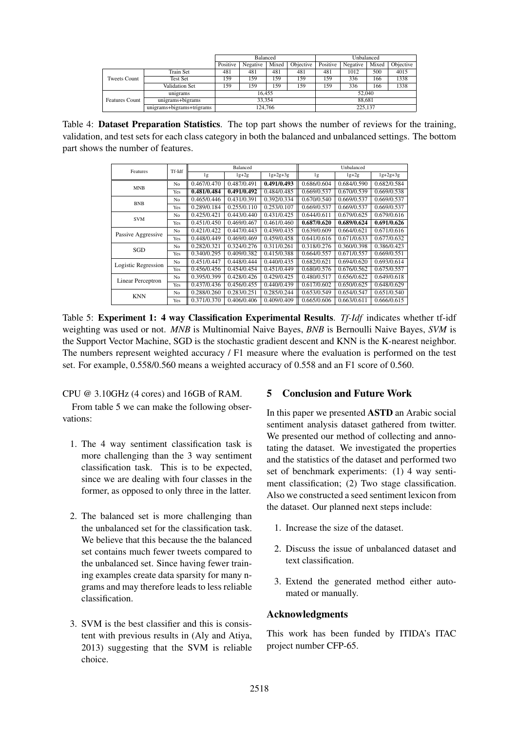|                       |                           | <b>Balanced</b> |          |       |           | Unbalanced |          |       |           |
|-----------------------|---------------------------|-----------------|----------|-------|-----------|------------|----------|-------|-----------|
|                       |                           | Positive        | Negative | Mixed | Objective | Positive   | Negative | Mixed | Objective |
| Tweets Count          | <b>Train Set</b>          | 481             | 481      | 481   | 481       | 481        | 1012     | 500   | 4015      |
|                       | <b>Test Set</b>           | 159             | 159      | 159   | 159       | 159        | 336      | 166   | 1338      |
|                       | <b>Validation Set</b>     | 159             | 159      | 159   | 159       | 159        | 336      | 166   | 1338      |
|                       | unigrams                  | 16.455          |          |       |           | 52,040     |          |       |           |
| <b>Features Count</b> | unigrams+bigrams          | 33.354          |          |       |           | 88.681     |          |       |           |
|                       | unigrams+bigrams+trigrams |                 | 124,766  |       |           | 225,137    |          |       |           |

Table 4: Dataset Preparation Statistics. The top part shows the number of reviews for the training, validation, and test sets for each class category in both the balanced and unbalanced settings. The bottom part shows the number of features.

| Features                 | Tf-Idf         |             | Balanced    |                | Unbalanced  |             |             |  |
|--------------------------|----------------|-------------|-------------|----------------|-------------|-------------|-------------|--|
|                          |                | 1g          | $lg+2g$     | $1g + 2g + 3g$ | 1g          | $lg+2g$     | $lg+2g+3g$  |  |
| <b>MNB</b>               | No             | 0.467/0.470 | 0.487/0.491 | 0.491/0.493    | 0.686/0.604 | 0.684/0.590 | 0.682/0.584 |  |
|                          | Yes            | 0.481/0.484 | 0.491/0.492 | 0.484/0.485    | 0.669/0.537 | 0.670/0.539 | 0.669/0.538 |  |
| <b>BNB</b>               | No             | 0.465/0.446 | 0.431/0.391 | 0.392/0.334    | 0.670/0.540 | 0.669/0.537 | 0.669/0.537 |  |
|                          | Yes            | 0.289/0.184 | 0.255/0.110 | 0.253/0.107    | 0.669/0.537 | 0.669/0.537 | 0.669/0.537 |  |
| <b>SVM</b>               | N <sub>o</sub> | 0.425/0.421 | 0.443/0.440 | 0.431/0.425    | 0.644/0.611 | 0.679/0.625 | 0.679/0.616 |  |
|                          | Yes            | 0.451/0.450 | 0.469/0.467 | 0.461/0.460    | 0.687/0.620 | 0.689/0.624 | 0.691/0.626 |  |
| Passive Aggressive       | N <sub>o</sub> | 0.421/0.422 | 0.447/0.443 | 0.439/0.435    | 0.639/0.609 | 0.664/0.621 | 0.671/0.616 |  |
|                          | Yes            | 0.448/0.449 | 0.469/0.469 | 0.459/0.458    | 0.641/0.616 | 0.671/0.633 | 0.677/0.632 |  |
| SGD                      | N <sub>o</sub> | 0.282/0.321 | 0.324/0.276 | 0.311/0.261    | 0.318/0.276 | 0.360/0.398 | 0.386/0.423 |  |
|                          | Yes            | 0.340/0.295 | 0.409/0.382 | 0.415/0.388    | 0.664/0.557 | 0.671/0.557 | 0.669/0.551 |  |
| Logistic Regression      | N <sub>o</sub> | 0.451/0.447 | 0.448/0.444 | 0.440/0.435    | 0.682/0.621 | 0.694/0.620 | 0.693/0.614 |  |
|                          | Yes            | 0.456/0.456 | 0.454/0.454 | 0.451/0.449    | 0.680/0.576 | 0.676/0.562 | 0.675/0.557 |  |
| <b>Linear Perceptron</b> | N <sub>o</sub> | 0.395/0.399 | 0.428/0.426 | 0.429/0.425    | 0.480/0.517 | 0.656/0.622 | 0.649/0.618 |  |
|                          | Yes            | 0.437/0.436 | 0.456/0.455 | 0.440/0.439    | 0.617/0.602 | 0.650/0.625 | 0.648/0.629 |  |
| <b>KNN</b>               | No             | 0.288/0.260 | 0.283/0.251 | 0.285/0.244    | 0.653/0.549 | 0.654/0.547 | 0.651/0.540 |  |
|                          | Yes            | 0.371/0.370 | 0.406/0.406 | 0.409/0.409    | 0.665/0.606 | 0.663/0.611 | 0.666/0.615 |  |

Table 5: Experiment 1: 4 way Classification Experimental Results. *Tf-Idf* indicates whether tf-idf weighting was used or not. *MNB* is Multinomial Naive Bayes, *BNB* is Bernoulli Naive Bayes, *SVM* is the Support Vector Machine, SGD is the stochastic gradient descent and KNN is the K-nearest neighbor. The numbers represent weighted accuracy / F1 measure where the evaluation is performed on the test set. For example, 0.558/0.560 means a weighted accuracy of 0.558 and an F1 score of 0.560.

CPU @ 3.10GHz (4 cores) and 16GB of RAM.

From table 5 we can make the following observations:

- 1. The 4 way sentiment classification task is more challenging than the 3 way sentiment classification task. This is to be expected, since we are dealing with four classes in the former, as opposed to only three in the latter.
- 2. The balanced set is more challenging than the unbalanced set for the classification task. We believe that this because the the balanced set contains much fewer tweets compared to the unbalanced set. Since having fewer training examples create data sparsity for many ngrams and may therefore leads to less reliable classification.
- 3. SVM is the best classifier and this is consistent with previous results in (Aly and Atiya, 2013) suggesting that the SVM is reliable choice.

## 5 Conclusion and Future Work

In this paper we presented ASTD an Arabic social sentiment analysis dataset gathered from twitter. We presented our method of collecting and annotating the dataset. We investigated the properties and the statistics of the dataset and performed two set of benchmark experiments: (1) 4 way sentiment classification; (2) Two stage classification. Also we constructed a seed sentiment lexicon from the dataset. Our planned next steps include:

- 1. Increase the size of the dataset.
- 2. Discuss the issue of unbalanced dataset and text classification.
- 3. Extend the generated method either automated or manually.

## Acknowledgments

This work has been funded by ITIDA's ITAC project number CFP-65.